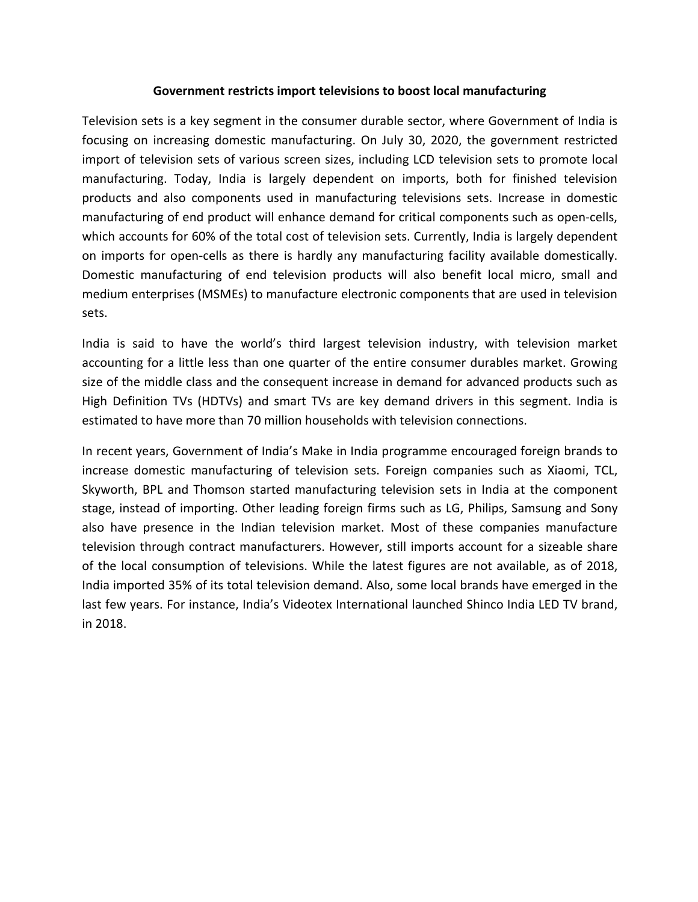# **Government restricts import televisions to boost local manufacturing**

Television sets is a key segment in the consumer durable sector, where Government of India is focusing on increasing domestic manufacturing. On July 30, 2020, the government restricted import of television sets of various screen sizes, including LCD television sets to promote local manufacturing. Today, India is largely dependent on imports, both for finished television products and also components used in manufacturing televisions sets. Increase in domestic manufacturing of end product will enhance demand for critical components such as open-cells, which accounts for 60% of the total cost of television sets. Currently, India is largely dependent on imports for open-cells as there is hardly any manufacturing facility available domestically. Domestic manufacturing of end television products will also benefit local micro, small and medium enterprises (MSMEs) to manufacture electronic components that are used in television sets.

India is said to have the world's third largest television industry, with television market accounting for a little less than one quarter of the entire consumer durables market. Growing size of the middle class and the consequent increase in demand for advanced products such as High Definition TVs (HDTVs) and smart TVs are key demand drivers in this segment. India is estimated to have more than 70 million households with television connections.

In recent years, Government of India's Make in India programme encouraged foreign brands to increase domestic manufacturing of television sets. Foreign companies such as Xiaomi, TCL, Skyworth, BPL and Thomson started manufacturing television sets in India at the component stage, instead of importing. Other leading foreign firms such as LG, Philips, Samsung and Sony also have presence in the Indian television market. Most of these companies manufacture television through contract manufacturers. However, still imports account for a sizeable share of the local consumption of televisions. While the latest figures are not available, as of 2018, India imported 35% of its total television demand. Also, some local brands have emerged in the last few years. For instance, India's Videotex International launched Shinco India LED TV brand, in 2018.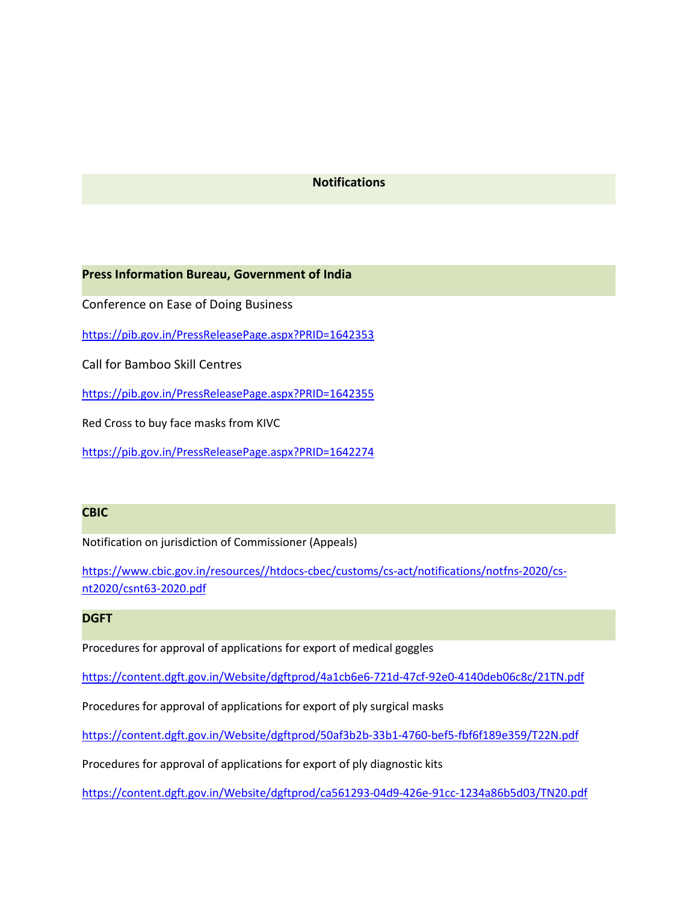### **Notifications**

#### **Press Information Bureau, Government of India**

Conference on Ease of Doing Business

<https://pib.gov.in/PressReleasePage.aspx?PRID=1642353>

Call for Bamboo Skill Centres

<https://pib.gov.in/PressReleasePage.aspx?PRID=1642355>

Red Cross to buy face masks from KIVC

<https://pib.gov.in/PressReleasePage.aspx?PRID=1642274>

## **CBIC**

Notification on jurisdiction of Commissioner (Appeals)

[https://www.cbic.gov.in/resources//htdocs-cbec/customs/cs-act/notifications/notfns-2020/cs](https://www.cbic.gov.in/resources/htdocs-cbec/customs/cs-act/notifications/notfns-2020/cs-nt2020/csnt63-2020.pdf) nt2020/csnt63-2020.pdf

### **DGFT**

Procedures for approval of applications for export of medical goggles

<https://content.dgft.gov.in/Website/dgftprod/4a1cb6e6-721d-47cf-92e0-4140deb06c8c/21TN.pdf>

Procedures for approval of applications for export of ply surgical masks

<https://content.dgft.gov.in/Website/dgftprod/50af3b2b-33b1-4760-bef5-fbf6f189e359/T22N.pdf>

Procedures for approval of applications for export of ply diagnostic kits

<https://content.dgft.gov.in/Website/dgftprod/ca561293-04d9-426e-91cc-1234a86b5d03/TN20.pdf>